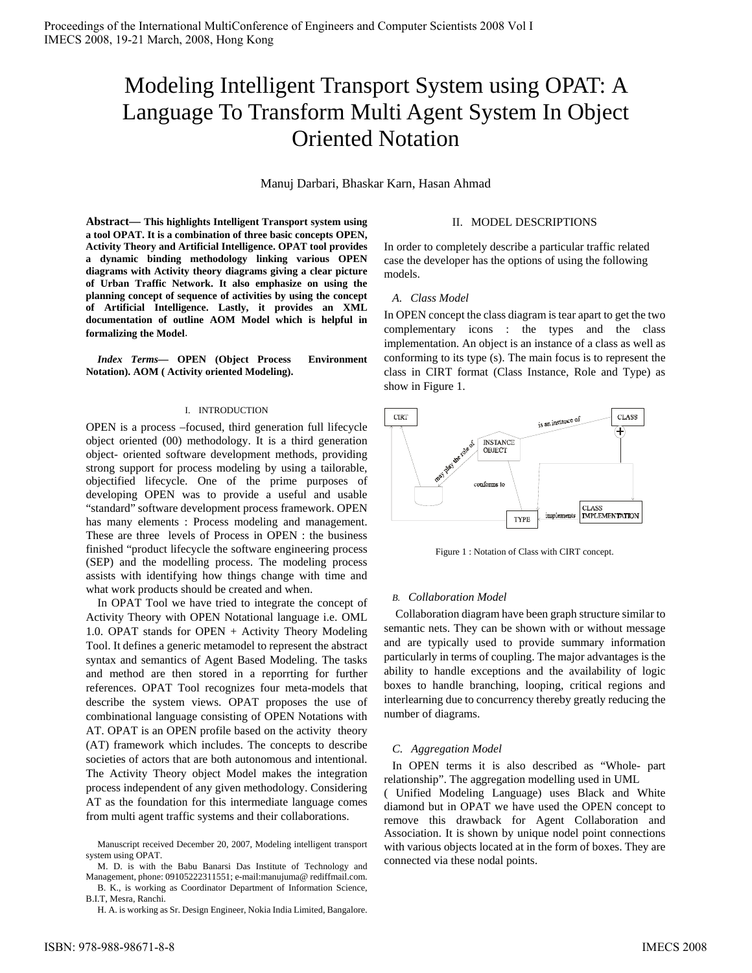# Modeling Intelligent Transport System using OPAT: A Language To Transform Multi Agent System In Object Oriented Notation

Manuj Darbari, Bhaskar Karn, Hasan Ahmad

**Abstract— This highlights Intelligent Transport system using a tool OPAT. It is a combination of three basic concepts OPEN, Activity Theory and Artificial Intelligence. OPAT tool provides a dynamic binding methodology linking various OPEN diagrams with Activity theory diagrams giving a clear picture of Urban Traffic Network. It also emphasize on using the planning concept of sequence of activities by using the concept of Artificial Intelligence. Lastly, it provides an XML documentation of outline AOM Model which is helpful in formalizing the Model**.

*Index Terms***— OPEN (Object Process Environment Notation). AOM ( Activity oriented Modeling).** 

#### I. INTRODUCTION

OPEN is a process –focused, third generation full lifecycle object oriented (00) methodology. It is a third generation object- oriented software development methods, providing strong support for process modeling by using a tailorable, objectified lifecycle. One of the prime purposes of developing OPEN was to provide a useful and usable "standard" software development process framework. OPEN has many elements : Process modeling and management. These are three levels of Process in OPEN : the business finished "product lifecycle the software engineering process (SEP) and the modelling process. The modeling process assists with identifying how things change with time and what work products should be created and when.

In OPAT Tool we have tried to integrate the concept of Activity Theory with OPEN Notational language i.e. OML 1.0. OPAT stands for OPEN + Activity Theory Modeling Tool. It defines a generic metamodel to represent the abstract syntax and semantics of Agent Based Modeling. The tasks and method are then stored in a reporrting for further references. OPAT Tool recognizes four meta-models that describe the system views. OPAT proposes the use of combinational language consisting of OPEN Notations with AT. OPAT is an OPEN profile based on the activity theory (AT) framework which includes. The concepts to describe societies of actors that are both autonomous and intentional. The Activity Theory object Model makes the integration process independent of any given methodology. Considering AT as the foundation for this intermediate language comes from multi agent traffic systems and their collaborations.

M. D. is with the Babu Banarsi Das Institute of Technology and Management, phone: 09105222311551; e-mail:manujuma@ rediffmail.com.

## II. MODEL DESCRIPTIONS

In order to completely describe a particular traffic related case the developer has the options of using the following models.

## *A. Class Model*

In OPEN concept the class diagram is tear apart to get the two complementary icons : the types and the class implementation. An object is an instance of a class as well as conforming to its type (s). The main focus is to represent the class in CIRT format (Class Instance, Role and Type) as show in Figure 1.



Figure 1 : Notation of Class with CIRT concept.

## *B. Collaboration Model*

Collaboration diagram have been graph structure similar to semantic nets. They can be shown with or without message and are typically used to provide summary information particularly in terms of coupling. The major advantages is the ability to handle exceptions and the availability of logic boxes to handle branching, looping, critical regions and interlearning due to concurrency thereby greatly reducing the number of diagrams.

#### *C. Aggregation Model*

In OPEN terms it is also described as "Whole- part relationship". The aggregation modelling used in UML

( Unified Modeling Language) uses Black and White diamond but in OPAT we have used the OPEN concept to remove this drawback for Agent Collaboration and Association. It is shown by unique nodel point connections with various objects located at in the form of boxes. They are connected via these nodal points.

Manuscript received December 20, 2007, Modeling intelligent transport system using OPAT.

B. K., is working as Coordinator Department of Information Science, B.I.T, Mesra, Ranchi.

H. A. is working as Sr. Design Engineer, Nokia India Limited, Bangalore.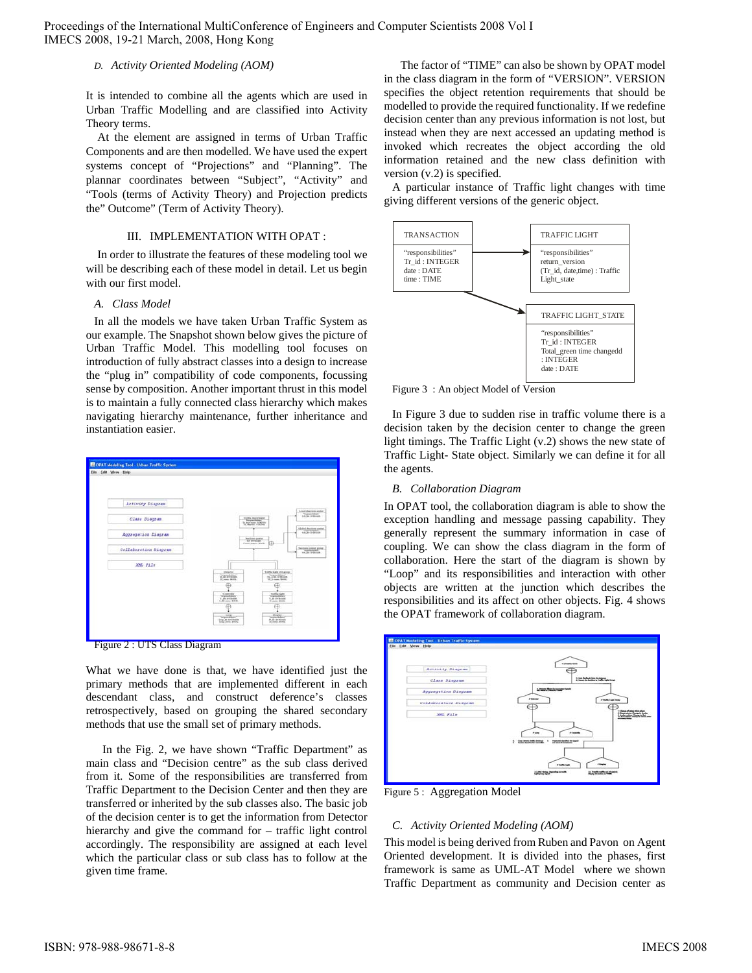Proceedings of the International MultiConference of Engineers and Computer Scientists 2008 Vol I IMECS 2008, 19-21 March, 2008, Hong Kong

## *D. Activity Oriented Modeling (AOM)*

It is intended to combine all the agents which are used in Urban Traffic Modelling and are classified into Activity Theory terms.

At the element are assigned in terms of Urban Traffic Components and are then modelled. We have used the expert systems concept of "Projections" and "Planning". The plannar coordinates between "Subject", "Activity" and "Tools (terms of Activity Theory) and Projection predicts the" Outcome" (Term of Activity Theory).

#### III. IMPLEMENTATION WITH OPAT :

In order to illustrate the features of these modeling tool we will be describing each of these model in detail. Let us begin with our first model.

#### *A. Class Model*

In all the models we have taken Urban Traffic System as our example. The Snapshot shown below gives the picture of Urban Traffic Model. This modelling tool focuses on introduction of fully abstract classes into a design to increase the "plug in" compatibility of code components, focussing sense by composition. Another important thrust in this model is to maintain a fully connected class hierarchy which makes navigating hierarchy maintenance, further inheritance and instantiation easier.





What we have done is that, we have identified just the primary methods that are implemented different in each descendant class, and construct deference's classes retrospectively, based on grouping the shared secondary methods that use the small set of primary methods.

In the Fig. 2, we have shown "Traffic Department" as main class and "Decision centre" as the sub class derived from it. Some of the responsibilities are transferred from Traffic Department to the Decision Center and then they are transferred or inherited by the sub classes also. The basic job of the decision center is to get the information from Detector hierarchy and give the command for – traffic light control accordingly. The responsibility are assigned at each level which the particular class or sub class has to follow at the given time frame.

The factor of "TIME" can also be shown by OPAT model in the class diagram in the form of "VERSION". VERSION specifies the object retention requirements that should be modelled to provide the required functionality. If we redefine decision center than any previous information is not lost, but instead when they are next accessed an updating method is invoked which recreates the object according the old information retained and the new class definition with version (v.2) is specified.

A particular instance of Traffic light changes with time giving different versions of the generic object.



Figure 3 : An object Model of Version

In Figure 3 due to sudden rise in traffic volume there is a decision taken by the decision center to change the green light timings. The Traffic Light (v.2) shows the new state of Traffic Light- State object. Similarly we can define it for all the agents.

#### *B. Collaboration Diagram*

In OPAT tool, the collaboration diagram is able to show the exception handling and message passing capability. They generally represent the summary information in case of coupling. We can show the class diagram in the form of collaboration. Here the start of the diagram is shown by "Loop" and its responsibilities and interaction with other objects are written at the junction which describes the responsibilities and its affect on other objects. Fig. 4 shows the OPAT framework of collaboration diagram.



Figure 5 : Aggregation Model

# *C. Activity Oriented Modeling (AOM)*

This model is being derived from Ruben and Pavon on Agent Oriented development. It is divided into the phases, first framework is same as UML-AT Model where we shown Traffic Department as community and Decision center as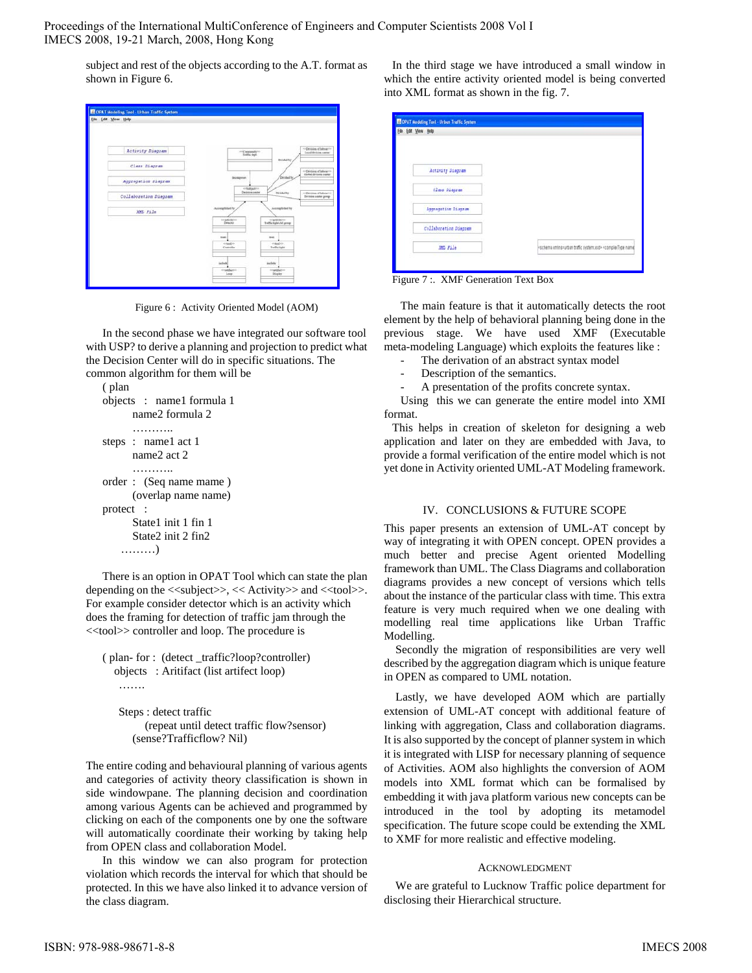Proceedings of the International MultiConference of Engineers and Computer Scientists 2008 Vol I IMECS 2008, 19-21 March, 2008, Hong Kong

subject and rest of the objects according to the A.T. format as shown in Figure 6.

| Ede Edit View Help |                       |                                    |                           |                                                            |
|--------------------|-----------------------|------------------------------------|---------------------------|------------------------------------------------------------|
|                    |                       |                                    |                           |                                                            |
|                    |                       |                                    |                           |                                                            |
|                    | Activity Diagram      |                                    |                           | << Division of Island<br>Local division server             |
|                    |                       | evil tanananahyves<br>Taalfic dept | Dealers                   |                                                            |
|                    | Class Diagram         |                                    |                           |                                                            |
|                    |                       | <b>Asimpron</b>                    | Divided by                | - Division of Inheractive<br><b>Clubal Artistes center</b> |
|                    | Apprepation Diegram   |                                    |                           |                                                            |
|                    |                       | ortabianto<br>Decision center      | Diriched by               | 410 Division of Interior 17                                |
|                    | Collaboration Diagram |                                    |                           | Division coster prony                                      |
|                    | X975.251a             | Accomplished by                    | Accomplished by           |                                                            |
|                    |                       | tradition.                         | stadelers.                |                                                            |
|                    |                       | Detector                           | Treffic light and group   |                                                            |
|                    |                       | tion.                              | teks.                     |                                                            |
|                    |                       | school in-<br>Comitler             | enaugio-<br>Toolfie light |                                                            |
|                    |                       |                                    |                           |                                                            |
|                    |                       | include                            | include                   |                                                            |
|                    |                       | <b>CONSULTS</b>                    | <b>Interdibility</b>      |                                                            |
|                    |                       | Loop                               | <b>Ikuler</b>             |                                                            |

Figure 6 : Activity Oriented Model (AOM)

In the second phase we have integrated our software tool with USP? to derive a planning and projection to predict what the Decision Center will do in specific situations. The common algorithm for them will be

```
( plan 
objects : name1 formula 1 
       name2 formula 2 
      …………
steps : name1 act 1
      name2 act 2 
      …………
order : (Seq name mame ) 
       (overlap name name) 
protect : 
       State1 init 1 fin 1 
       State2 init 2 fin2 
    ………)
```
There is an option in OPAT Tool which can state the plan depending on the  $\langle\langle\text{subject}\rangle\rangle$ ,  $\langle\langle\text{Activity}\rangle\rangle$  and  $\langle\langle\text{tool}\rangle\rangle$ . For example consider detector which is an activity which does the framing for detection of traffic jam through the <<tool>> controller and loop. The procedure is

```
( plan- for : (detect _traffic?loop?controller) 
   objects : Aritifact (list artifect loop)
```
Steps : detect traffic (repeat until detect traffic flow?sensor) (sense?Trafficflow? Nil)

The entire coding and behavioural planning of various agents and categories of activity theory classification is shown in side windowpane. The planning decision and coordination among various Agents can be achieved and programmed by clicking on each of the components one by one the software will automatically coordinate their working by taking help from OPEN class and collaboration Model.

In this window we can also program for protection violation which records the interval for which that should be protected. In this we have also linked it to advance version of the class diagram.

In the third stage we have introduced a small window in which the entire activity oriented model is being converted into XML format as shown in the fig. 7.

| Ede Edit View Help    |                                                                                                     |
|-----------------------|-----------------------------------------------------------------------------------------------------|
| Activity Diagram      |                                                                                                     |
| Class Diagram         |                                                                                                     |
| Aggregation Diagram   |                                                                                                     |
| Collaboration Diagram |                                                                                                     |
| XXII File             | <schema imins="utban" system.isd="" traffic=""> <complextype name<="" td=""></complextype></schema> |

Figure 7 :. XMF Generation Text Box

The main feature is that it automatically detects the root element by the help of behavioral planning being done in the previous stage. We have used XMF (Executable meta-modeling Language) which exploits the features like :

- The derivation of an abstract syntax model
- Description of the semantics.
- A presentation of the profits concrete syntax.

Using this we can generate the entire model into XMI format.

This helps in creation of skeleton for designing a web application and later on they are embedded with Java, to provide a formal verification of the entire model which is not yet done in Activity oriented UML-AT Modeling framework.

## IV. CONCLUSIONS & FUTURE SCOPE

This paper presents an extension of UML-AT concept by way of integrating it with OPEN concept. OPEN provides a much better and precise Agent oriented Modelling framework than UML. The Class Diagrams and collaboration diagrams provides a new concept of versions which tells about the instance of the particular class with time. This extra feature is very much required when we one dealing with modelling real time applications like Urban Traffic Modelling.

Secondly the migration of responsibilities are very well described by the aggregation diagram which is unique feature in OPEN as compared to UML notation.

Lastly, we have developed AOM which are partially extension of UML-AT concept with additional feature of linking with aggregation, Class and collaboration diagrams. It is also supported by the concept of planner system in which it is integrated with LISP for necessary planning of sequence of Activities. AOM also highlights the conversion of AOM models into XML format which can be formalised by embedding it with java platform various new concepts can be introduced in the tool by adopting its metamodel specification. The future scope could be extending the XML to XMF for more realistic and effective modeling.

## ACKNOWLEDGMENT

We are grateful to Lucknow Traffic police department for disclosing their Hierarchical structure.